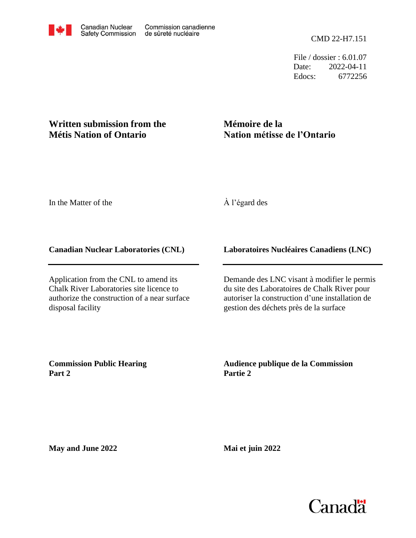File / dossier : 6.01.07 Date: 2022-04-11 Edocs: 6772256

## **Written submission from the Métis Nation of Ontario**

# **Mémoire de la Nation métisse de l'Ontario**

In the Matter of the

### À l'égard des

#### **Canadian Nuclear Laboratories (CNL)**

Application from the CNL to amend its Chalk River Laboratories site licence to authorize the construction of a near surface disposal facility

#### **Laboratoires Nucléaires Canadiens (LNC)**

Demande des LNC visant à modifier le permis du site des Laboratoires de Chalk River pour autoriser la construction d'une installation de gestion des déchets près de la surface

**Commission Public Hearing Part 2**

**Audience publique de la Commission Partie 2**

**May and June 2022**

**Mai et juin 2022**

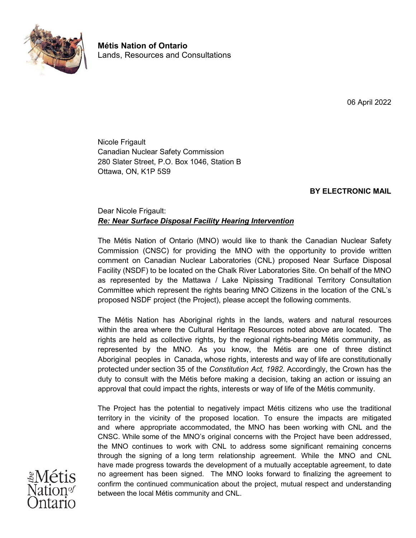

**Métis Nation of Ontario** Lands, Resources and Consultations

06 April 2022

Nicole Frigault Canadian Nuclear Safety Commission 280 Slater Street, P.O. Box 1046, Station B Ottawa, ON, K1P 5S9

#### **BY ELECTRONIC MAIL**

#### Dear Nicole Frigault: *Re: Near Surface Disposal Facility Hearing Intervention*

The Métis Nation of Ontario (MNO) would like to thank the Canadian Nuclear Safety Commission (CNSC) for providing the MNO with the opportunity to provide written comment on Canadian Nuclear Laboratories (CNL) proposed Near Surface Disposal Facility (NSDF) to be located on the Chalk River Laboratories Site. On behalf of the MNO as represented by the Mattawa / Lake Nipissing Traditional Territory Consultation Committee which represent the rights bearing MNO Citizens in the location of the CNL's proposed NSDF project (the Project), please accept the following comments.

The Métis Nation has Aboriginal rights in the lands, waters and natural resources within the area where the Cultural Heritage Resources noted above are located. The rights are held as collective rights, by the regional rights-bearing Métis community, as represented by the MNO. As you know, the Métis are one of three distinct Aboriginal peoples in Canada, whose rights, interests and way of life are constitutionally protected under section 35 of the *Constitution Act, 1982*. Accordingly, the Crown has the duty to consult with the Métis before making a decision, taking an action or issuing an approval that could impact the rights, interests or way of life of the Métis community.

The Project has the potential to negatively impact Métis citizens who use the traditional territory in the vicinity of the proposed location. To ensure the impacts are mitigated and where appropriate accommodated, the MNO has been working with CNL and the CNSC. While some of the MNO's original concerns with the Project have been addressed, the MNO continues to work with CNL to address some significant remaining concerns through the signing of a long term relationship agreement. While the MNO and CNL have made progress towards the development of a mutually acceptable agreement, to date no agreement has been signed. The MNO looks forward to finalizing the agreement to confirm the continued communication about the project, mutual respect and understanding between the local Métis community and CNL.